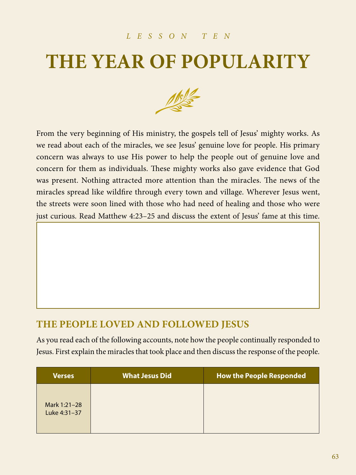#### *LESSON TEN*

# **THE YEAR OF POPULARITY**



From the very beginning of His ministry, the gospels tell of Jesus' mighty works. As we read about each of the miracles, we see Jesus' genuine love for people. His primary concern was always to use His power to help the people out of genuine love and concern for them as individuals. These mighty works also gave evidence that God was present. Nothing attracted more attention than the miracles. The news of the miracles spread like wildfire through every town and village. Wherever Jesus went, the streets were soon lined with those who had need of healing and those who were just curious. Read Matthew 4:23–25 and discuss the extent of Jesus' fame at this time.

### **THE PEOPLE LOVED AND FOLLOWED JESUS**

As you read each of the following accounts, note how the people continually responded to Jesus. First explain the miracles that took place and then discuss the response of the people.

| <b>Verses</b>                | <b>What Jesus Did</b> | <b>How the People Responded</b> |
|------------------------------|-----------------------|---------------------------------|
| Mark 1:21-28<br>Luke 4:31-37 |                       |                                 |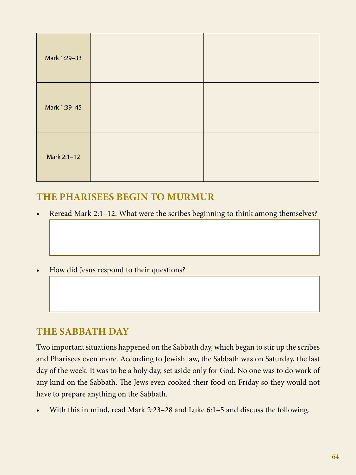| Mark 1:29-33 |  |
|--------------|--|
| Mark 1:39-45 |  |
| Mark 2:1-12  |  |

### **THE PHARISEES BEGIN TO MURMUR**

- Reread Mark 2:1–12. What were the scribes beginning to think among themselves?
- How did Jesus respond to their questions?

#### **THE SABBATH DAY**

Two important situations happened on the Sabbath day, which began to stir up the scribes and Pharisees even more. According to Jewish law, the Sabbath was on Saturday, the last day of the week. It was to be a holy day, set aside only for God. No one was to do work of any kind on the Sabbath. The Jews even cooked their food on Friday so they would not have to prepare anything on the Sabbath.

• With this in mind, read Mark 2:23–28 and Luke 6:1–5 and discuss the following.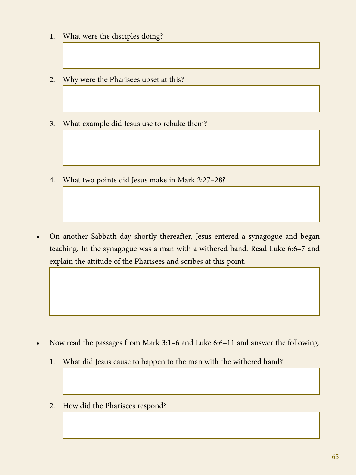- 1. What were the disciples doing?
- 2. Why were the Pharisees upset at this?
- 3. What example did Jesus use to rebuke them?
- 4. What two points did Jesus make in Mark 2:27–28?

• On another Sabbath day shortly thereafter, Jesus entered a synagogue and began teaching. In the synagogue was a man with a withered hand. Read Luke 6:6–7 and explain the attitude of the Pharisees and scribes at this point.

- Now read the passages from Mark 3:1–6 and Luke 6:6–11 and answer the following.
	- 1. What did Jesus cause to happen to the man with the withered hand?
	- 2. How did the Pharisees respond?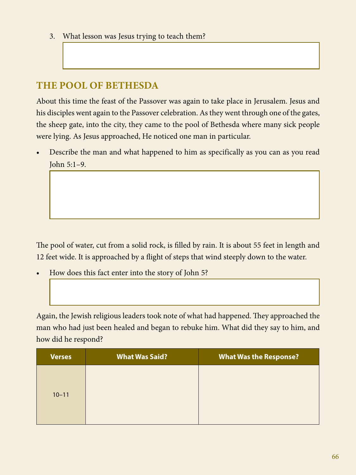3. What lesson was Jesus trying to teach them?

### **THE POOL OF BETHESDA**

About this time the feast of the Passover was again to take place in Jerusalem. Jesus and his disciples went again to the Passover celebration. As they went through one of the gates, the sheep gate, into the city, they came to the pool of Bethesda where many sick people were lying. As Jesus approached, He noticed one man in particular.

• Describe the man and what happened to him as specifically as you can as you read John 5:1–9.

The pool of water, cut from a solid rock, is filled by rain. It is about 55 feet in length and 12 feet wide. It is approached by a flight of steps that wind steeply down to the water.

• How does this fact enter into the story of John 5?

Again, the Jewish religious leaders took note of what had happened. They approached the man who had just been healed and began to rebuke him. What did they say to him, and how did he respond?

| <b>Verses</b> | <b>What Was Said?</b> | <b>What Was the Response?</b> |
|---------------|-----------------------|-------------------------------|
| $10 - 11$     |                       |                               |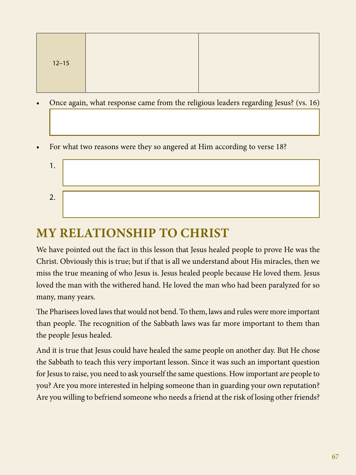| $12 - 15$ |  |
|-----------|--|
|           |  |

- Once again, what response came from the religious leaders regarding Jesus? (vs. 16)
- For what two reasons were they so angered at Him according to verse 18?
	- 1. 2.

### **MY RELATIONSHIP TO CHRIST**

We have pointed out the fact in this lesson that Jesus healed people to prove He was the Christ. Obviously this is true; but if that is all we understand about His miracles, then we miss the true meaning of who Jesus is. Jesus healed people because He loved them. Jesus loved the man with the withered hand. He loved the man who had been paralyzed for so many, many years.

The Pharisees loved laws that would not bend. To them, laws and rules were more important than people. The recognition of the Sabbath laws was far more important to them than the people Jesus healed.

And it is true that Jesus could have healed the same people on another day. But He chose the Sabbath to teach this very important lesson. Since it was such an important question for Jesus to raise, you need to ask yourself the same questions. How important are people to you? Are you more interested in helping someone than in guarding your own reputation? Are you willing to befriend someone who needs a friend at the risk of losing other friends?